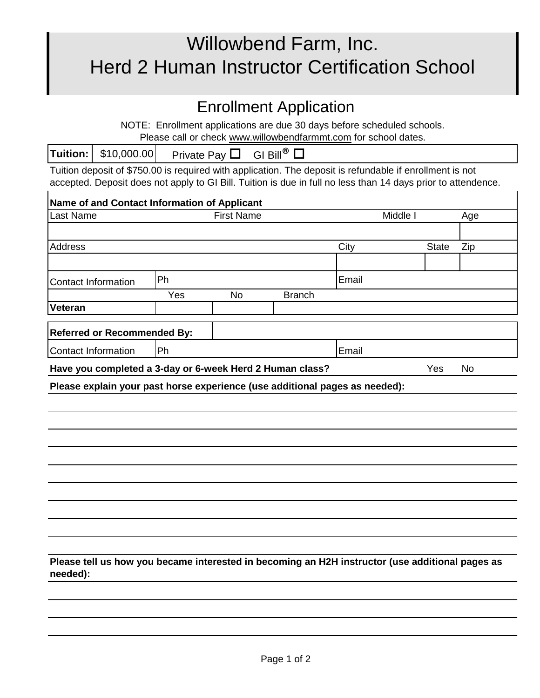## Willowbend Farm, Inc. Herd 2 Human Instructor Certification School

## Enrollment Application

NOTE: Enrollment applications are due 30 days before scheduled schools. Please call or check www.willowbendfarmmt.com for school dates.

Tuition deposit of \$750.00 is required with application. The deposit is refundable if enrollment is not accepted. Deposit does not apply to GI Bill. Tuition is due in full no less than 14 days prior to attendence.

| Name of and Contact Information of Applicant                                                                |                   |           |               |          |              |           |
|-------------------------------------------------------------------------------------------------------------|-------------------|-----------|---------------|----------|--------------|-----------|
| Last Name                                                                                                   | <b>First Name</b> |           |               | Middle I |              | Age       |
|                                                                                                             |                   |           |               |          |              |           |
| <b>Address</b>                                                                                              |                   |           |               | City     | <b>State</b> | Zip       |
|                                                                                                             |                   |           |               |          |              |           |
| <b>Contact Information</b>                                                                                  | Ph                |           |               | Email    |              |           |
|                                                                                                             | Yes               | <b>No</b> | <b>Branch</b> |          |              |           |
| <b>Veteran</b>                                                                                              |                   |           |               |          |              |           |
| <b>Referred or Recommended By:</b>                                                                          |                   |           |               |          |              |           |
| <b>Contact Information</b>                                                                                  | Ph                |           |               | Email    |              |           |
| Have you completed a 3-day or 6-week Herd 2 Human class?                                                    |                   |           |               |          | Yes          | <b>No</b> |
| Please explain your past horse experience (use additional pages as needed):                                 |                   |           |               |          |              |           |
|                                                                                                             |                   |           |               |          |              |           |
|                                                                                                             |                   |           |               |          |              |           |
|                                                                                                             |                   |           |               |          |              |           |
|                                                                                                             |                   |           |               |          |              |           |
|                                                                                                             |                   |           |               |          |              |           |
|                                                                                                             |                   |           |               |          |              |           |
|                                                                                                             |                   |           |               |          |              |           |
|                                                                                                             |                   |           |               |          |              |           |
|                                                                                                             |                   |           |               |          |              |           |
| Please tell us how you became interested in becoming an H2H instructor (use additional pages as<br>needed): |                   |           |               |          |              |           |
|                                                                                                             |                   |           |               |          |              |           |